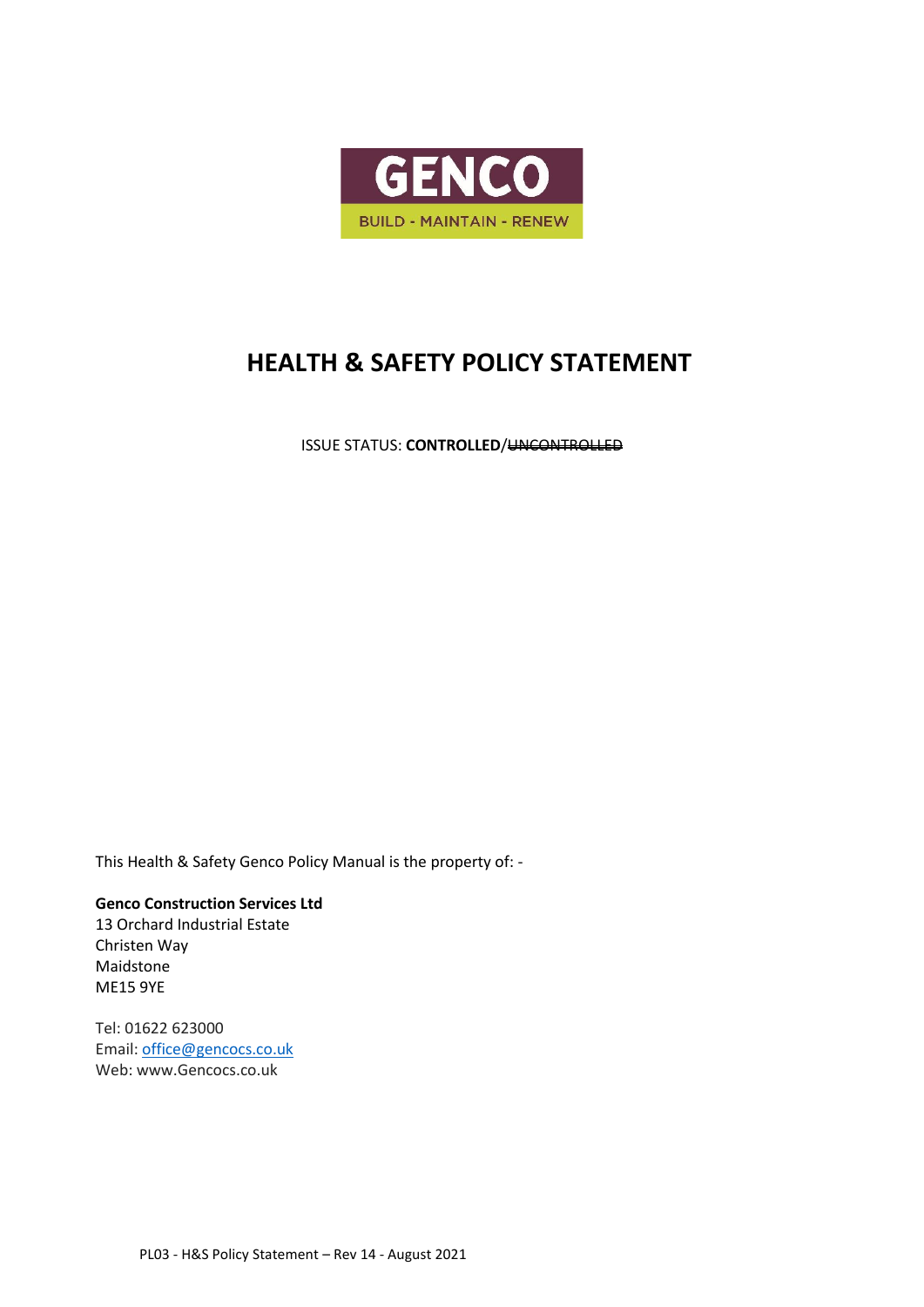

## **HEALTH & SAFETY POLICY STATEMENT**

**ISSUE STATUS: CONTROLLED/<del>UNCONTROLLED</del>** 

This Health & Safety Genco Policy Manual is the property of: -

**Genco Construction Services Ltd** 13 Orchard Industrial Estate Christen Way Maidstone ME15 9YE

Tel: 01622 623000 Email[: office@gencocs.co.uk](mailto:office@gencocs.co.uk) Web: www.Gencocs.co.uk